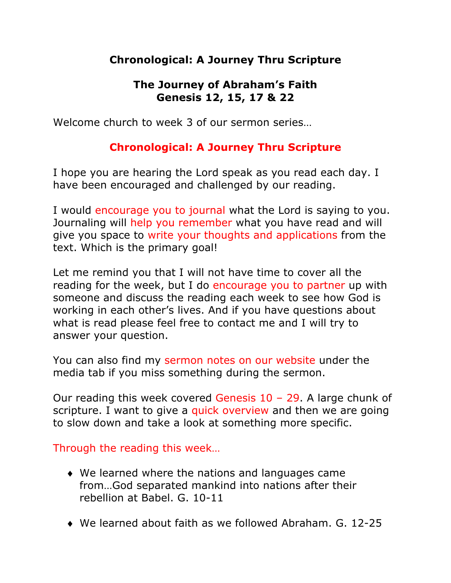# **Chronological: A Journey Thru Scripture**

## **The Journey of Abraham's Faith Genesis 12, 15, 17 & 22**

Welcome church to week 3 of our sermon series…

# **Chronological: A Journey Thru Scripture**

I hope you are hearing the Lord speak as you read each day. I have been encouraged and challenged by our reading.

I would encourage you to journal what the Lord is saying to you. Journaling will help you remember what you have read and will give you space to write your thoughts and applications from the text. Which is the primary goal!

Let me remind you that I will not have time to cover all the reading for the week, but I do encourage you to partner up with someone and discuss the reading each week to see how God is working in each other's lives. And if you have questions about what is read please feel free to contact me and I will try to answer your question.

You can also find my sermon notes on our website under the media tab if you miss something during the sermon.

Our reading this week covered Genesis 10 – 29. A large chunk of scripture. I want to give a quick overview and then we are going to slow down and take a look at something more specific.

Through the reading this week…

- $\bullet$  We learned where the nations and languages came from…God separated mankind into nations after their rebellion at Babel. G. 10-11
- $\bullet$  We learned about faith as we followed Abraham. G. 12-25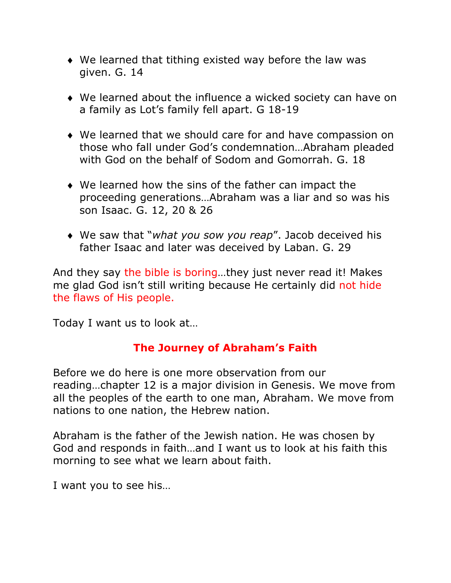- $\bullet$  We learned that tithing existed way before the law was given. G. 14
- $\bullet$  We learned about the influence a wicked society can have on a family as Lot's family fell apart. G 18-19
- $\bullet$  We learned that we should care for and have compassion on those who fall under God's condemnation…Abraham pleaded with God on the behalf of Sodom and Gomorrah. G. 18
- $\bullet$  We learned how the sins of the father can impact the proceeding generations…Abraham was a liar and so was his son Isaac. G. 12, 20 & 26
- ◆ We saw that "*what you sow you reap"*. Jacob deceived his father Isaac and later was deceived by Laban. G. 29

And they say the bible is boring…they just never read it! Makes me glad God isn't still writing because He certainly did not hide the flaws of His people.

Today I want us to look at…

## **The Journey of Abraham's Faith**

Before we do here is one more observation from our reading…chapter 12 is a major division in Genesis. We move from all the peoples of the earth to one man, Abraham. We move from nations to one nation, the Hebrew nation.

Abraham is the father of the Jewish nation. He was chosen by God and responds in faith…and I want us to look at his faith this morning to see what we learn about faith.

I want you to see his…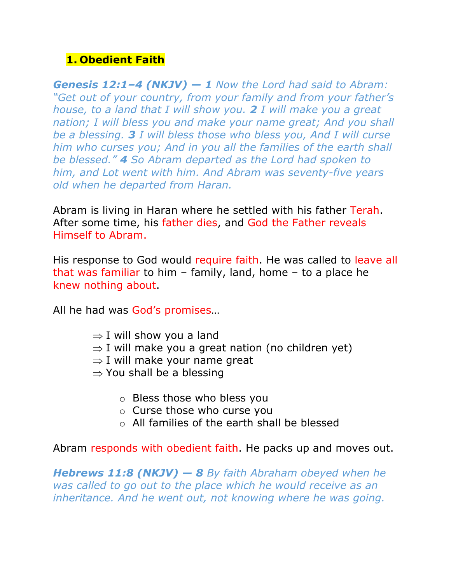# **1. Obedient Faith**

*Genesis 12:1–4 (NKJV) — 1 Now the Lord had said to Abram: "Get out of your country, from your family and from your father's house, to a land that I will show you. 2 I will make you a great nation; I will bless you and make your name great; And you shall be a blessing. 3 I will bless those who bless you, And I will curse him who curses you; And in you all the families of the earth shall be blessed." 4 So Abram departed as the Lord had spoken to him, and Lot went with him. And Abram was seventy-five years old when he departed from Haran.*

Abram is living in Haran where he settled with his father Terah. After some time, his father dies, and God the Father reveals Himself to Abram.

His response to God would require faith. He was called to leave all that was familiar to him – family, land, home – to a place he knew nothing about.

All he had was God's promises…

- $\Rightarrow$  I will show you a land
- $\Rightarrow$  I will make you a great nation (no children yet)
- $\Rightarrow$  I will make your name great
- $\Rightarrow$  You shall be a blessing
	- o Bless those who bless you
	- o Curse those who curse you
	- o All families of the earth shall be blessed

Abram responds with obedient faith. He packs up and moves out.

*Hebrews 11:8 (NKJV) — 8 By faith Abraham obeyed when he was called to go out to the place which he would receive as an inheritance. And he went out, not knowing where he was going.*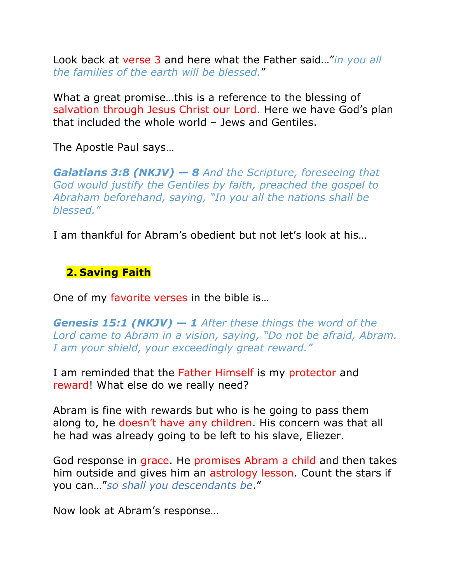Look back at verse 3 and here what the Father said…"*in you all the families of the earth will be blessed.*"

What a great promise…this is a reference to the blessing of salvation through Jesus Christ our Lord. Here we have God's plan that included the whole world – Jews and Gentiles.

The Apostle Paul says…

*Galatians 3:8 (NKJV) — 8 And the Scripture, foreseeing that God would justify the Gentiles by faith, preached the gospel to Abraham beforehand, saying, "In you all the nations shall be blessed."*

I am thankful for Abram's obedient but not let's look at his…

### **2. Saving Faith**

One of my favorite verses in the bible is…

*Genesis 15:1 (NKJV) — 1 After these things the word of the Lord came to Abram in a vision, saying, "Do not be afraid, Abram. I am your shield, your exceedingly great reward."*

I am reminded that the Father Himself is my protector and reward! What else do we really need?

Abram is fine with rewards but who is he going to pass them along to, he doesn't have any children. His concern was that all he had was already going to be left to his slave, Eliezer.

God response in grace. He promises Abram a child and then takes him outside and gives him an astrology lesson. Count the stars if you can…"*so shall you descendants be*."

Now look at Abram's response…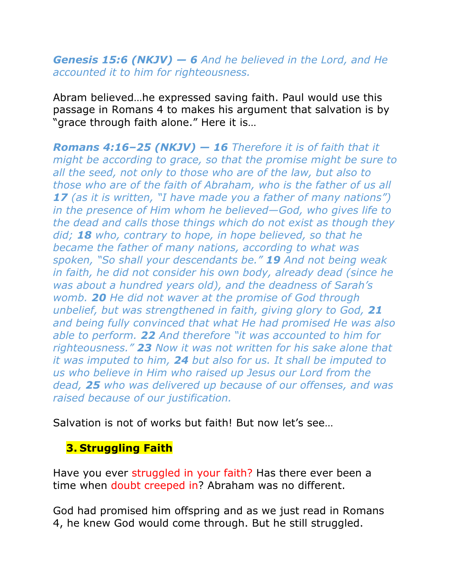### *Genesis 15:6 (NKJV) — 6 And he believed in the Lord, and He accounted it to him for righteousness.*

Abram believed…he expressed saving faith. Paul would use this passage in Romans 4 to makes his argument that salvation is by "grace through faith alone." Here it is…

*Romans 4:16–25 (NKJV) — 16 Therefore it is of faith that it might be according to grace, so that the promise might be sure to all the seed, not only to those who are of the law, but also to those who are of the faith of Abraham, who is the father of us all 17 (as it is written, "I have made you a father of many nations") in the presence of Him whom he believed—God, who gives life to the dead and calls those things which do not exist as though they did; 18 who, contrary to hope, in hope believed, so that he became the father of many nations, according to what was spoken, "So shall your descendants be." 19 And not being weak in faith, he did not consider his own body, already dead (since he was about a hundred years old), and the deadness of Sarah's womb. 20 He did not waver at the promise of God through unbelief, but was strengthened in faith, giving glory to God, 21 and being fully convinced that what He had promised He was also able to perform. 22 And therefore "it was accounted to him for righteousness." 23 Now it was not written for his sake alone that it was imputed to him, 24 but also for us. It shall be imputed to us who believe in Him who raised up Jesus our Lord from the dead, 25 who was delivered up because of our offenses, and was raised because of our justification.*

Salvation is not of works but faith! But now let's see…

## **3. Struggling Faith**

Have you ever struggled in your faith? Has there ever been a time when doubt creeped in? Abraham was no different.

God had promised him offspring and as we just read in Romans 4, he knew God would come through. But he still struggled.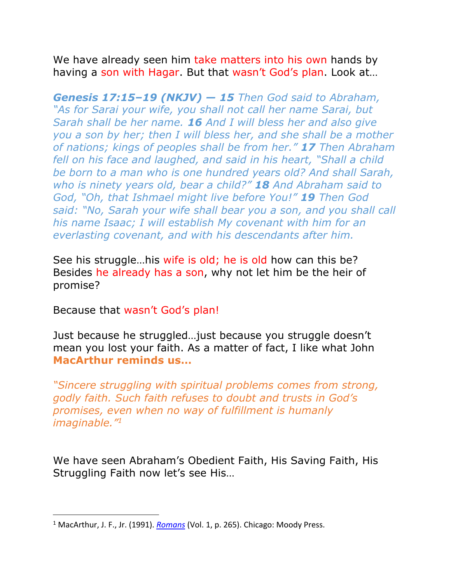We have already seen him take matters into his own hands by having a son with Hagar. But that wasn't God's plan. Look at…

*Genesis 17:15–19 (NKJV) — 15 Then God said to Abraham, "As for Sarai your wife, you shall not call her name Sarai, but Sarah shall be her name. 16 And I will bless her and also give you a son by her; then I will bless her, and she shall be a mother of nations; kings of peoples shall be from her." 17 Then Abraham fell on his face and laughed, and said in his heart, "Shall a child be born to a man who is one hundred years old? And shall Sarah, who is ninety years old, bear a child?" 18 And Abraham said to God, "Oh, that Ishmael might live before You!" 19 Then God said: "No, Sarah your wife shall bear you a son, and you shall call his name Isaac; I will establish My covenant with him for an everlasting covenant, and with his descendants after him.*

See his struggle…his wife is old; he is old how can this be? Besides he already has a son, why not let him be the heir of promise?

Because that wasn't God's plan!

Just because he struggled…just because you struggle doesn't mean you lost your faith. As a matter of fact, I like what John **MacArthur reminds us…**

*"Sincere struggling with spiritual problems comes from strong, godly faith. Such faith refuses to doubt and trusts in God's promises, even when no way of fulfillment is humanly imaginable."1*

We have seen Abraham's Obedient Faith, His Saving Faith, His Struggling Faith now let's see His…

<sup>1</sup> MacArthur, J. F., Jr. (1991). *Romans* (Vol. 1, p. 265). Chicago: Moody Press.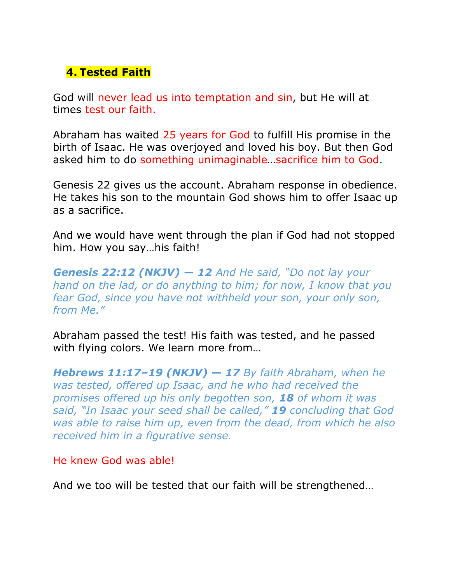# **4. Tested Faith**

God will never lead us into temptation and sin, but He will at times test our faith.

Abraham has waited 25 years for God to fulfill His promise in the birth of Isaac. He was overjoyed and loved his boy. But then God asked him to do something unimaginable…sacrifice him to God.

Genesis 22 gives us the account. Abraham response in obedience. He takes his son to the mountain God shows him to offer Isaac up as a sacrifice.

And we would have went through the plan if God had not stopped him. How you say…his faith!

*Genesis 22:12 (NKJV) — 12 And He said, "Do not lay your hand on the lad, or do anything to him; for now, I know that you fear God, since you have not withheld your son, your only son, from Me."*

Abraham passed the test! His faith was tested, and he passed with flying colors. We learn more from…

*Hebrews 11:17–19 (NKJV) — 17 By faith Abraham, when he was tested, offered up Isaac, and he who had received the promises offered up his only begotten son, 18 of whom it was said, "In Isaac your seed shall be called," 19 concluding that God was able to raise him up, even from the dead, from which he also received him in a figurative sense.*

He knew God was able!

And we too will be tested that our faith will be strengthened…